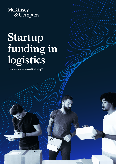

## **Startup funding in logistics**

 $\sqrt{2}$ 

New money for an old industry?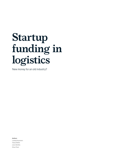## **Startup funding in logistics**

New money for an old industry?

Authors

Ludwig Hausmann Tobias Wölfel Jaron Stoffels Oliver Fleck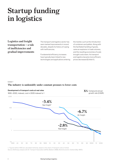### **Startup funding in logistics**

**Logistics and freight transportation – a tale of inefficiencies and gradual improvements**

The transport and logistics sector has seen marked improvements in recent decades, despite its history of coping with inefficiencies.

Fundamental efficiency increases have typically been linked to new technologies and applications entering the market, such as the introduction of containers and pallets. Along with the facilitated handling of goods, came an explosion in trade volumes, and the resulting economies of scale brought costs down. As transport and logistics became more efficient, prices decreased (Exhibit 1).

### Exhibit 1

### **The industry is undeniably under constant pressure to lower costs**



1. Figures before 1930 are calculated indirectly, based on the share of transport costs of wheat.

Source: McKinsey analysis (US Air Transport Association (2010); Baldwin (1999); World Economic Outlook (May 1997))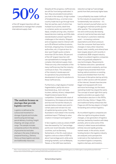# **50%**

of the US' largest importers still use spreadsheets to manage their complex international supply chain

### **The analysis focuses on startups that provide logistics services**

Logistics is defined as the outsourced movement or storage of goods and includes warehousing and storage, parcel delivery, trucking, freight shipping, rail cargo, and air cargo. The sample includes companies active in the delivery of groceries but excludes startups in the area of delivering prepared food (e.g., Delivery Hero), as these logistics services are traditionally insourced.

Despite all this progress, inefficiencies are still far from being eradicated. In fact, they are prevalent everywhere you look in the industry. A high number of breakpoints (e.g., a normal crosscountry trade has to go through more than ten parties, each of which has multiple touch points; dwell time in container yards can exceed five days), complex pricing rules, intuitionbased decision making, and little data standardization present significant challenges in the industry. Shippers and consignees need to interact with up to 25 different entities (customs, terminals, shipping lines, forwarders, authorities, etc.). A typical door-todoor spot freight quote contains more than 20 line items. 50 percent of the US' largest importers still use spreadsheets to manage their complex international supply chain. These are only a few examples of the many inefficiencies that the industry continues to face. The complexity of the industry's landscape and its operations has prevented the development of quick-fix solutions to these inefficiencies.

Furthermore, a high degree of market fragmentation, partly into microbusinesses (e.g., mom-and-pop truckers, delivery drivers, independent freight brokers) means fierce competition. Combined with a lack of transparency, this keeps prices down and has even forced the industry to operate below a break-even point in certain years and not earn its cost of capital during some cycles. This is illustrated in more detail in the recently published report "Pathway to value creation in transport and logistics."1

In fact, logistics costs as a share of GDP have decreased by 1 to 7 percentage points over recent decades. Developed countries, such as Germany, Switzerland, or the US, could reduce logistics costs as a share of GDP by about 1 percentage point, while some emerging markets, such as Malaysia, Taiwan, or the UAE have reached a

reduction as high as 7 percentage points from their previously higher base.

Low profitability has made it difficult for the industry to experiment with fundamentally new solutions – it's hard to reinvent yourself when you're struggling to maintain profits quarter after quarter. The comparatively low and continuously decreasing prices (in real terms) have also kept the industry's customers relatively quiet – increasing customer expectations and direct pressure from the consumer that have led to changes in many other industries (travel, retail, mobility, and others) have been largely absent until recently in a traditional, B2B-shaped industry. Today's incumbent logistics companies have only gradually adapted to new technologies. Requirements for flawless execution, operational efficiencies amid complexity, and low margins have prevented them from testing radical solutions on existing issues and shielded them from the first wave of disruptive startup activity seen in other sectors with the advent of the internet. Vessels have become bigger and equipped with more and more technology, but the basic operating model has stayed the same. The concept of asset-light third-party logistics providers as supply chain orchestrators was born in the 1970s, and to this day, Kühne + Nagel, DHL, and traditional family enterprises like Fiege are still the key players in freight forwarding and contract logistics.

As incumbent logistics companies are often too rigid to bring about drastic changes, a new generation of logistics startups, backed by investors with deep pockets, aims to solve some of the industry's oldest issues and address entirely new and rapidly growing market needs. In this article, recent funding trends in the logistics industry are analyzed, and a perspective is derived on the implications for incumbent logistics companies, logistics startups, and investors.

<sup>1</sup> https://www.mckinsey.com/~/media/mckinsey/industries/travel%20transport%20and%20logistics/our%20insights/creating%20value%20in%20 transportation%20and%20logistics/pathway%20to%20value%20creation.ashx.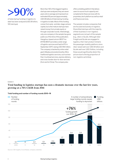### **>90%**

of total startup funding in logistics to date has been analyzed (USD 26 billion, 120 startups)

More than 120 of the biggest logistics startups were analyzed; they are seven years old on average and represent an estimated 93 percent (approximately USD 26 billion) of total startup funding in logistics to date. Most of this funding comes from early- and late-stage venture capital, but a few mature startups have raised money from private equity or through corporate rounds. Interestingly, only one company in the sample has gone public as of the time of this publication. Hangzhou-based unicorn BEST Inc. (NYSE:BEST) provides a wide range of logistics services and had its IPO in September 2017, raising USD 450 million. The company is backed by online retail giant Alibaba and predominantly offers traditional logistics services, such as lessthan-truckload services, express delivery, and cross-border door-to-door services (from and to China). The company also

offers a bidding platform that allows users to source truck capacity and complements these services with its proprietary tech platform as well as retail and finance services.

The sample includes companies that are focused exclusively on logistics. Diversified startups with the majority of their business in non-logistics segments are not part of the sample (e.g., Uber or GoJek. Although Uber Freight and GoJek are engaged in logistics, their main product remains the passenger mobility platform; since Uber raised well over USD 24 billion and GoJek well over USD 3 billion, including these would significantly distort the picture due to the big proportion of non-logistics activities).

### Exhibit 2

### **Total funding in logistics startups has seen a dramatic increase over the last few years, growing at a 76% CAGR from 2014**



Source: CB Insights; Crunchbase; company websites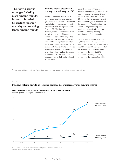**The growth story is no longer fueled by more funding rounds; instead, it is fueled by startups reaching maturity and receiving larger funding rounds**

### **Venture capital discovered the logistics industry in 2015**

Seeing an enormous market that is growing and is poised for disruption given the vast inefficiencies, the venture capital industry has increasingly cast an eye on startups in the logistics industry. Around USD 28 billion has been invested, almost all of which was raised in 2015 or later. Neeraj Bharadwaj, Managing Director of the Carlyle Asia buyout team, explains the interest as follows: "We see significant potential for technology-enabled logistics in the country with the growth of e-commerce as well as increasing customer focus on on-time delivery and service levels." This comment was made after the announcement of Carlyle's investment in Delhivery.<sup>2</sup>

Exhibit 2 shows that the number of reported deals involving the companies from our sample was stagnant from 2016 to 2018 and even dropped in 2019, while the average deal size and thus total funding grew threefold over the same period. Therefore, the growth story is no longer fueled by more funding rounds; instead, it is fueled by startups reaching maturity and receiving larger funding rounds.

2019 began with strong tailwind in Q1. Highlights include the USD 1 billion round from Flexport, a US-based digital freight forwarder. However, the rest of the year saw a significant slowdown compared to the boom in 2018. Nonetheless, funding is much higher compared to the years before 2018.

<sup>2</sup> https://www.carlyle.com/media-room/news-release-archive/carlyle-group-acquires-significant-minority-stake-delhivery.

### Exhibit 3

### **Funding volume growth in logistics startups has outpaced overall venture growth**



Venture funding growth in logistics compared to overall venture growth Indexed growth, funding in 2014 indexed to 1x

Source: McKinsey; Crunchbase; PitchBook 1. Excludes PE, corporate, and all other rounds; only venture rounds considered.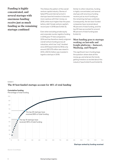**Funding is highly concentrated, and several startups with enormous funding receive just as much funding as the remaining startups combined**

This follows the pattern of the overall venture capital industry. Stories of failed IPOs and internal turmoil in startups have led investors to become more cautious with their money; so 2019, while much higher than the years before, didn't break venture capital's record year in 2018 (see Exhibit 3).

Even when excluding private equity and corporate rounds, logistics funding in 2019 grew 17-fold compared to 2014 and has therefore clearly outgrown overall venture funding across all industries, which has "only" doubled since 2014 (see Exhibit 3). While only around USD 375 million was raised in 2014, USD 6.3 billion was invested in logistics startups in 2019.

Similar to other industries, funding is highly concentrated, and several startups with enormous funding receive just as much funding as the remaining startups combined. Consequently, the ten best-funded companies have received about 46 percent of total funding, and the top 20 have accounted for around 66 percent of total funding (see Exhibit 4).

### **Most funding goes to startups working on last-mile and freight platforms – Instacart, Manbang, and Flexport**

This significant rise in funding begs the question: where does all this money go, and what are the trends getting investors so excited about this industry? (see Exhibit 5 and Exhibit 6).

### Exhibit 4

### **The 10 best-funded startups account for 46% of total funding**

### Cumulative funding

Percentage of total funding



### Startups ranked by funding received

Source: Crunchbase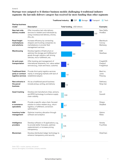### **Startups were assigned to 11 distinct business models challenging 4 traditional industry segments: the last-mile delivery category has received far more funding than other segments**

|                                                               |                                                                                                                                                             | Traditional industry:<br>CEP<br>Storage |     |     | Transport<br>Tech |                                     |
|---------------------------------------------------------------|-------------------------------------------------------------------------------------------------------------------------------------------------------------|-----------------------------------------|-----|-----|-------------------|-------------------------------------|
| <b>Startup business</b><br>model                              | <b>Description</b>                                                                                                                                          | Total funding, USD billions             |     |     |                   | <b>Examples</b>                     |
| New last-mile<br>delivery models                              | Offer innovative last-mile delivery<br>services to retailers and individuals by<br>using crowdsourced delivery, drones,<br>AVs, etc.                        |                                         |     |     | 9.9               | New DaDa<br><b>HiveBox</b>          |
| Road freight<br>marketplaces<br>and solutions                 | Increase efficiency by connecting<br>shippers and trucking companies via<br>marketplaces or provide fleet<br>management services                            |                                         |     | 6.0 |                   | Blackbuck<br>Convoy<br>Manbang      |
| Warehousing                                                   | Develop logistics infrastructure or<br>optimize the storage and fulfillment of<br>goods through robotics, self-driving<br>vehicles, micro-fulfillment, etc. |                                         | 3.3 |     |                   | <b>ESR</b><br>NewEase               |
| Air and ocean<br>transportation                               | Offer booking and management of<br>international shipments, incl. value-added<br>services (e.g., track and trace, customs)                                  | 1.6                                     |     |     |                   | FreightOS<br>Flexport<br>Freighthub |
| Traditional third-<br>party or contract<br>logistics services | Provide third-party logistics services<br>mainly in emerging markets with lack of<br>established players                                                    | 1.4                                     |     |     |                   | Best Inc.<br>Juma<br>Peisong        |
| New entrants in<br>the parcel<br>business                     | Act as a traditional parcel business:<br>include pickup, sorting, and delivery                                                                              | 1.2                                     |     |     |                   | Delhivery<br>Ninja Van              |
| <b>Asset tracking</b>                                         | Develop and manufacture chips, sensors,<br>and RFID technology to enhance supply<br>chain visibility                                                        | 0.9                                     |     |     |                   | C <sub>3</sub><br>Scandit           |
| B <sub>2</sub> B<br>e-commerce<br>specialists                 | Provide a specific value-chain-focused<br>solution to online retailers (e.g., return<br>logistics, e-fulfillment, conversion<br>optimization)               | 0.7                                     |     |     |                   | Shippo<br>ShipBob                   |
| Inventory/order<br>management                                 | Optimize inventory allocation through<br>software and analytics                                                                                             | 0.5                                     |     |     |                   | Optoro<br>Relex                     |
| Intelligence<br>providers                                     | Develop software or AI applications, e.g.,<br>to provide better forecasts, optimize<br>replenishment, or increase pricing<br>transparency                   | 0.5                                     |     |     |                   | Xeneta<br>FourKites                 |
| <b>Blockchain</b>                                             | Develop distributed-ledger technology to<br>enhance transparency and security                                                                               | 0.2                                     |     |     |                   | ShipChain                           |

Note: CEP = courier, express, and parcel

Source: CB Insights; Crunchbase; company websites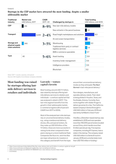### **Startups in the CEP market have attracted the most funding, despite a smaller addressable market**

| <b>Traditional</b><br>industry                    | <b>Market size</b><br>USD billions, 2017 | <b>CAGR</b><br>$2017 - 23$ | Challenged by startups in                                 | <b>Total funding</b><br>USD billions, until 2019 |  |
|---------------------------------------------------|------------------------------------------|----------------------------|-----------------------------------------------------------|--------------------------------------------------|--|
| <b>CEP</b>                                        | 319                                      | $8 - 9\%$                  | New last-mile delivery models                             | 9.9                                              |  |
|                                                   |                                          |                            | New entrants in the parcel business                       | 1.2                                              |  |
| Transport                                         | 2,249                                    | $2 - 4\%$                  | Road freight marketplaces and solutions                   | 6.0                                              |  |
|                                                   |                                          |                            | Air and ocean transportation                              | 1.6                                              |  |
| Storage and<br>physical supply<br>chain solutions | 340                                      | $3 - 5%$                   | Warehousing                                               | 3.3                                              |  |
|                                                   |                                          |                            | Traditional third-party or contract<br>logistics services | 1.4                                              |  |
|                                                   |                                          |                            | B2B e-commerce specialists                                | 0.7                                              |  |
| <b>Tech</b>                                       | 40                                       | $5 - 6%$                   | Asset tracking                                            | 0.9                                              |  |
|                                                   |                                          |                            | Inventory/order management                                | 0.5                                              |  |
|                                                   |                                          |                            | Intelligence providers                                    | 0.5                                              |  |
|                                                   |                                          |                            | Blockchain                                                | 0.2                                              |  |

Note: CEP = courier, express, and parcel

Source: CB Insights; Crunchbase; company websites

### **Most funding was raised by startups offering lastmile delivery services to retailers and individuals**

### **Last-mile – venture capital's favorite**

Most funding, around USD 11.1 billion, was raised by startups offering lastmile delivery services to retailers and individuals – a venture capital bet that was analyzed in detail in 2017.<sup>3</sup> This last-mile segment benefits from the growth in their addressable market, e-commerce logistics (8 to 9 percent CAGR from 2017 to 2023).

Most of the analyzed last-mile startups rely on unconventional delivery modes, e.g., using crowdsourced delivery, drones, AVs, and parcel lockers. As they make up USD 9.9 billion of the 11.1 billion, these are more successful in raising funds when compared to their peers relying on a more traditional fleet. Companies like Nuro Inc. and Hive Box are major attractions for investors in this category and benefit from the hype around their unconventional delivery modes as they anticipate *The Next Normal* in last-mile parcel delivery.4

Nuro designs, manufactures, and operates delivery robots. Their robot is being piloted in Houston, Texas, and Scottsdale, Arizona. Currently, Nuro works together with retailer Kroger to deliver groceries for a fee. The Californiabased company's Series B brought in USD 940 million in February 2019 and was led by SoftBank's Vision Fund.<sup>5</sup>

Hive Box, a Shenzhen-based startup, was established in 2015 and now operates more than 150,000 parcel lockers located across China, which handle more than 9 million parcels per day. Five express companies, including SF Express, have a stake in the startup. The company raised USD 323 million in a Series B round in January 2018 and currently totals more than USD 700 million in funding.<sup>6</sup>

- <sup>4</sup> https://www.mckinsey.com/featured-insights/the-next-normal/parcel-delivery.
- <sup>5</sup> https://www.theverge.com/2019/3/14/18265397/nuro-robot-delivery-houston-texas-kroger.
- <sup>6</sup> Crunchbase.

<sup>3</sup> https://www.mckinsey.it/sites/default/files/the-urban-delivery-bet-usd-5-billion-in-venture-capital-at-risk.pdf.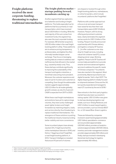**Freight platforms received the most corporate funding, threatening to replace traditional intermediaries**

### **The freight platform market – startups pushing forward, incumbents catching up**

Another segment that has captured a lot of attention and funding is freight platforms. This holds especially true for platforms that focus primarily on road transportation, which have received about USD 6 billion in funding. While the vast majority of this sum comes from investment funds, this segment has also seen the most corporate funding. For example, DB Schenker acquired a USD 25 million stake in the road freight booking platform uShip. These platforms aim to enhance pricing transparency, professionalize, and digitize the often informally handled shipper carrier exchange. They focus on leveraging existing data as a means to address vast inefficiencies that still exist in the market (e.g., caused by empty runs). Thus, these startups contribute significantly to improving the sustainability of the transport and logistics industries, a trend that is becoming more prevalent. Moreover, the customer experience and ease of use for truckers and customers is compelling. Even though the addressable market is gigantic (approximately USD 2.2 trillion for all modes globally), growth is slower, as only 2 to 4 percent CAGR is expected from 2017 to 2023.

While these road freight marketplaces and solutions have yet to capture large volumes, they have surely challenged asset-lighter brokers and freight forwarders by matching shippers, loads, and carriers directly, thus threatening to replace traditional intermediaries. The emergence of these solutions is pushing the traditional industry toward providing better visibility and more convenience.

Some incumbent players have already reacted: DHL Freight launched the online marketplace Saloodo in 2016, and Kühne + Nagel launched FreightNet, a road freight booking platform, in 2014. Transport Intelligence revealed that around 10 percent of volumes

are shipped or booked through online freight booking platforms, marketplaces, or online forwarders, which include incumbents' platforms like FreightNet.<sup>7</sup>

Platforms with a similar approach but a focus on air and ocean transport have raised far less than their road transportation peers (USD 1.6 billion). However, Flexport, with its strong offering and prominent customer base, clearly dominates this segment and accounts for USD 1.3 billion of the funding. Flexport recently announced a partnership with Chinese delivery and logistics company SF Express "[…] to offer customers a one-stop shop for freight services, including robust full container load (FCL) ocean shipping and air cargo. Working together, Flexport and SF Express will connect data and platforms to provide smarter and more advanced logistics services to address the specific needs of Chinese companies."<sup>8</sup> Incumbents have also reacted in this segment. Most prominently, Maersk launched its own digital forwarder, Twill, in April 2017. The digital shipping platform initially focused on shipments between China and the UK, but quickly expanded and managed to reach 27 countries by the end of 2018.<sup>9</sup>

New entrants in the third-party logistics market have also been successful in raising capital. USD 3.3 billion was given to startups developing logistics real estate, such as e-Shang Redwood, and USD 1.4 billion to asset-based logistics service providers, such as Chinese BEST Inc. or US-based Blue-Grace Logistics.

These are followed by companies involved in asset tracking (approximately USD 1 billion), specialized e-commerce service providers (approximately USD 640 million), providers of analytics solutions (approximately USD 530 million), inventory and order management solution providers (approximately 530 million), and finally, startups involved in developing blockchain technology for logistics (approximately 160 million).

https://www.ti-insight.com/product/global-freight-forwarding/.

<sup>8</sup> https://www.flexport.com/blog/flexport-and-sf-express-partner-to-increase-freight-visibility-in-china.

<sup>9</sup> https://www.maersk.com/news/articles/2019/06/26/leveraging-technology-to-grow.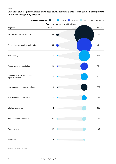### **Last-mile and freight platforms have been on the map for a while; tech-enabled asset players in 3PL market gaining traction**

|                                                           | Traditional industry: CEP |                                      | Storage Transport | Tech | USD 50 million |
|-----------------------------------------------------------|---------------------------|--------------------------------------|-------------------|------|----------------|
|                                                           |                           | Average annual funding, USD millions |                   |      |                |
| Segment                                                   | $2010 - 14$               |                                      |                   |      |                |
| New last-mile delivery models                             | 29                        |                                      |                   |      | 1,947          |
| Road freight marketplace and solutions                    | 35                        |                                      |                   |      | 1,151          |
| Warehousing                                               | 4                         |                                      |                   |      | 654            |
| Air and ocean transportation                              | 10                        |                                      |                   |      | 301            |
| Traditional third-party or contract<br>logistics services | $\ensuremath{\mathsf{3}}$ |                                      |                   |      | 271            |
| New entrants in the parcel business                       | $\mathsf 9$               |                                      |                   |      | 234            |
| B2B e-commerce specialists                                | 7                         |                                      |                   |      | 134            |
| Intelligence providers                                    | 1                         |                                      |                   |      | 106            |
| Inventory/order management                                | $17\,$                    |                                      |                   |      | 92             |
| Asset tracking                                            | 20                        |                                      |                   |      | 54             |
| Blockchain                                                | $11$                      |                                      |                   |      | 21             |
|                                                           |                           |                                      |                   |      |                |

Source: Crunchbase; McKinsey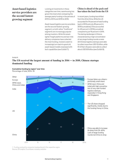**Asset-based logistics service providers are the second fastestgrowing segment**

Looking at investments in these categories over time, warehousing has grown the most when comparing the average yearly funding in the periods of 2010 to 2014 and 2015 to 2019.

Asset-based logistics service providers are the second fastest-growing segment, so both rather "traditional" segments are increasingly popular among investors. While the assetlighter freight platforms and last-mile delivery companies have collected the most funding, investors seem to increasingly turn back to good old asset-based models revamped with tech capabilities (see Exhibit 7).

**China is ahead of the pack and has taken the lead from the US**

In recent years, funding has shifted from the US to China. While the US accounted for 54 percent of total funding back in 2014 and only 35 percent in 2019 (cumulative), China accounted for 40 percent in 2019 (cumulative) compared to just 19 percent in 2014. The startup landscape in China is characterized by a high concentration of very large funding rounds: a mere 20 Chinese logistics startups were able to collect more than USD 10 billion, while 61 of their US peers were able to collect about USD 9.8 billion (see Exhibit 8).

### Exhibit 8

### **The US received the largest amount of funding in 2014 — in 2019, Chinese startups dominated funding**



Percentage of total, 2014–19



Source: CB Insights; Crunchbase; company websites 1. Funding received by companies headquartered in the respective region.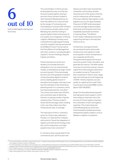### **6 out of 10**

best-funded logistics startups are from China

The concentration in China can also be illustrated this way: six of the top ten best-funded logistics startups are from China, the best-funded of which being the Manbang Group, an Uber-like platform for trucks formed by the merger of Yunmanman and Huochebang; it received USD 1.9 billion in an enormous private-equity round. Manbang has used the funding to acquire logistics talent and acquire its own assets via its integration of Zihong Logistics. Manbang's funding round constitutes the single largest funding round for a logistics startup and was led by SoftBank's Vision Fund as well as the China Reform Fund Management, with other investors, including Google's Capital G, Tencent Holdings, Sequoia Capital, and others.

China's dominance is driven by a tendency to innovate fast and a willingness to try out novel business models, accelerated by stronger overall economic growth. China has already become one of the greatest incubators of many disruptive digital innovators and is a leading global investor in disruptive technologies. One way to see how this manifests is the tremendous demand growth in e-commerce, which has long moved past tier-one cities.<sup>10</sup> The country thus seeks new, efficient, and convenient ways of delivering the ever-increasing number of goods ordered online. Previous research shows that the average citizen residing in tier-one cities orders more than 70 parcels per year, on average.<sup>11</sup>

The importance of the e-commerce sector for China is also reflected in Premier Li's "Internet Plus" initiative, which aims to "boost the integration of logistics and internet technology, lower the cost for enterprises, and make people's lives more convenient."12

E-commerce does a great deal for the convenience part, and thus last-mile

delivery providers have received lots of attention and funding. Another important part of the quote is that the cost for enterprises will be lowered. China has relatively high logistics costs (logistics account for approximately 13 percent of GDP, while developed countries average at approximately 8 percent), and the government has repeatedly expressed its interest in lowering these. The Reform Fund's stake in Manbang shows that supporting startups is one way they intend to do so.

Furthermore, local governments set up industrial parks and provide infrastructure and capital to create an ecosystem in which entrepreneurs can cooperate and flourish. The government expects this to spur economic growth, foster innovation, and generate tax revenue. The latter seems to be less of a priority; however, venture capital firms have enjoyed a deduction on taxable income by 70 percent of their investment in seed or early-stage high-tech startups since the beginning of 2019.13 Small companies can also qualify for significant tax relief if their income does not exceed RMB 3 million (about USD 435,800).14

Aside from favorable demand growth and high government support, a third factor plays an important role in the success of China's logistics startups: the combination of tech and logistics expertise. This is best observed at the Manbang Group, which has hired hundreds of people previously employed by logistics players, such as Alibaba or logistics incumbents.

<sup>10</sup> For more information, see: https://www.mckinsey.com/~/media/mckinsey/featured%20insights/china/china%20digital%20consumer%20trends%20in%202019/ china-digital-consumer-trends-in-2019.ashx.

<sup>11</sup> For more information, see: https://www.mckinsey.com/~/media/McKinsey/Industries/Travel%20Transport%20and%20Logistics/Our%20Insights/The%20

endgame%20for%20postal%20networks%20How%20to%20win%20in%20the%20age%20of%20e%20commerce/The-Endgame-for-Postal-Networks.ashx. <sup>12</sup> http://english.www.gov.cn/premier/news/2016/07/21/content\_281475398667727.htm.

<sup>13</sup> http://www.chinatax.gov.cn/chinatax/n810341/n810765/n4182981/201901/c4184156/content.html.

<sup>14</sup> https://www.sjgrand.cn/sme-startup-china-guide-recent-tax-cuts/.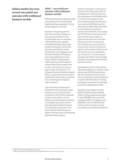**Indian market has seen several successful new entrants with traditional business models**

### **APAC – successful new entrants with traditional business models**

APAC (excluding China) also has a high concentration of very well-funded logistics startups, especially in Hong Kong, Singapore, and India.

Startups in Hong Kong benefit from their proximity to large and fast-growing markets in China and Southeast Asia. For example, e-Shang Redwood, a logistics real estate developer, has a large portfolio of projects in China and has even expanded into Japan, South Korea, India, Singapore, and Australia. Similarly, 4PX Express, which was established in Hong Kong in 2004, already employs 1,500 people across 50 locations and provides China-focused crossborder e-commerce services to a large number of merchants. The Singapore Post and Shenzhen Capital Group, a government-owned venture capital and private-equity investment fund, are among the company's major investors.15

Last-mile startups entering the market with more traditional modes (scooters, vans, trucks) are most successful in Asia-Pacific, especially in India, where players, such as Delhivery and Xpressbees, have built a completely new parcel network and collected hundreds of millions in funding within a few years. This shows that the traditional parcel players' offerings have not sufficiently addressed these markets.

Delhivery managed to build a parcel network within a few years after its establishment in 2011 and has thus far collected around USD 935 million in funding. The company moved from providing quick food deliveries to e-commerce fulfillment and has delivered over 550 million shipments thus far. Besides operating an express parcel network, the company has 75 fulfillment centers (with more than 4 million square meters of space) across India, their own fleet offering less-than-truckload and full-truckload services, as well as a cross-border network of clearance agents and forwarders. Delhivery has also built its own tech capabilities, e.g., through its in-house transport management platform and its freight booking and management interfaces Optimus and Orio.

Xpressbees is another Indian delivery startup specializing in e-commerce and delivers over 60,000 shipments per day. The company focuses on sameand next-day delivery and has gathered more than USD 160 million in funding (including an investment from Alibaba) since their establishment in 2015.

Bangalore-based digital trucking platform Blackbuck has simplified India's trucking market and was able to raise USD 285 million since their founding in 2015. Their platform lists 300,000 trucks from 60,000 fleet owners, and the company recently announced a partnership with Maersk.16

<sup>15</sup> http://en.4px.com/index.php/about-us.html.

<sup>16</sup> https://www.maersk.com/news/articles/2019/08/21/maersk-and-blackbuck-partner.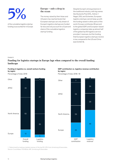

of the cumulative logistics startup funding is accounted for in Europe

### **Europe – only a drop in the ocean**

The money raised by their Asian and US peers has reached levels that European startups can only dream of. Europe's logistics startups are funded far less and only account for a 5 percent share of the cumulative logistics startup funding.

Despite Europe's strong presence in the traditional industry, with big names like Deutsche Post DHL, Kühne + Nagel, DSV, and Schenker, European logistics startups cannot keep up with the funding raised in other parts of the world. Europe contributes 26 percent to the global GDP, and European-based logistics companies take up almost half of the global top 50 logistics service providers' revenues, but the funding that European logistics startups receive is low compared to the US and China (see Exhibit 9).

### Exhibit 9

### **Funding for logistics startups in Europe lags when compared to the overall funding landscape**







Percentage of total, 2018–19



Source: Crunchbase; PitchBook; IMF; Armstrong & Associates 1. Determined by looking at global revenue of the top 50 LSPs from Armstrong & Associates.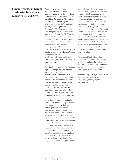### **Funding rounds in Europe are dwarfed by enormous rounds in US and APAC**

Apparently, neither the local incumbents nor local investor communities believe in the opportunity of tech-enabled logistics startups to the extent that Chinese and US investors do. What is considered significant and makes headlines in Europe, such as last year's highlights, including Zencargo's USD 20 million round in April, FreightHub's USD 30 million in May, or even Sennder's USD 70 million in July, is dwarfed by rounds worth hundreds of millions in Asia and the US. One part of the explanation is that venture funding just isn't as common in Europe as it is in Silicon Valley or Shenzhen. However, the overall venture capital funding share of Europe (across all industries) was at about 15 percent in 2018, so the 5 percent share of the cumulative logistics startup funding still seems very small.

One significant barrier for the European logistics startups is the established shippers, such as traditional manufacturing companies, which have relied on incumbent services for decades. This makes them reluctant to use new services from unestablished companies, while younger, fastergrowing Asian peers, who are not bound by decade-long relationships to their logistics partners, seem to be more open to using these new services.

While these European incumbents have not yet been seriously threatened by any new entrants in their home market (partially because these startups lack serious firepower and assets), with some of their volumes in foreign markets, especially India, Southeast Asia, and China are already being taken away by these well-funded startups. Compared to the US and China, European startups are also at a disadvantage when it comes to the size of their home countries, and to some extent, language barriers and national borders also pose restrictions on the growth of these new entrants. This fragmentation even takes place within

national borders. Logistics clusters and tech-startup clusters are seldom colocated, hindering cooperation and knowledge exchange among the two camps. Digital startups spawn and flourish in capital cities, such as Amsterdam and Berlin, but have very little contact with logistics hotspots like Hamburg or Rotterdam. This might also be a reason why last-mile is such a popular and well-funded segment. Urban tech talent is confronted with rapid urban e-commerce delivery more frequently than with the drier issues of warehouse process optimization or port and airport operations to process long-haul shipments, usually located outside of cities.

The analyzed funding is creating substantial opportunities for startups to drive innovation in the sector. It is enabling young companies to compete with incumbents and will challenge the status quo over the next decade.

In the following section, the implications for incumbents, startups, and investors are analyzed, and key hypotheses are presented.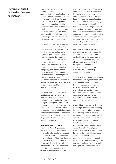### **Disruption ahead, gradual evolvement, or big bust?**

### Incumbents are here to stay – at least for now

Although logistics incumbents are not going anywhere, the question remains: how disruptive will these startups turn out to be? Will they gradually eliminate traditional value pools and monopolize future ones (as seen in travel distribution, music, television, and communication)? Or will they converge with innovating incumbents competing for the same customers and profits in the same services?

The most mature startups from the sample have already realized their need for operational improvements and thus have turned to expanding logistics expertise by hiring staff from the incumbents (e.g., Uber Freight with headquarters in Chicago) or even by developing their own asset-based networks (e.g., Flexport built warehouses in Los Angeles, Hong Kong, and recently added one in Shenzhen). The company also chartered B747s for shipments from Hong Kong to Los Angeles, but recently replaced this dedicated service with more flexible blockspace agreements on freighters covering several origins in Asia.

The good news for the traditional logistics providers is that in the short term, the network, assets, and relationships of incumbents are not going to be disrupted, at least not in their major markets. As of now, no new entrant has enough control over its network to ensure a globally integrated, seamless transportation on behalf of a large shipper: a capability that Kühne + Nagel or DHL Global Forwarding consider their domain.

### Startups are eating away at incumbents' growth prospects

Despite the fact that incumbents are here to stay, startups have managed to tap into markets that incumbents have long ignored. They were therefore able to take a significant share of future growth potential away from incumbents. This is reflected in some of the lackluster capital market trading of incumbents today. For

example, in e-commerce, third-party logistics companies are increasingly losing shares to the growing captive logistics offering of e-commerce and tech leaders as well as startups that have tapped into market niches (e.g., seamless returns handling). Tech companies, such as Google and SAP, are investing in AI, machine learning, and analytics capabilities focused on optimizing supply chains and logistics expenditures, while leading online retailers, such as Amazon and Alibaba, are investing in startups directly innovating in last-mile delivery.

In addition, startups in fast-growing, emerging markets have successfully adopted more traditional business models in view of the lack of strong incumbents. Capturing the growth of these emerging markets will be significantly tougher once a local startup has created strong customer ties – another major opportunity lost for incumbents.

To prevent new entrants from capturing the second wave of growth segments again and keep other customers from insourcing, incumbents need to review their global presence and customer satisfaction across service segments and new customer requirements, such as increasing sustainability, and map it against the most promising growth segments.

Overarching partnerships will become increasingly important for succeeding in the future, especially since processes in the industry are so intertwined. Connecting startups with incumbents can unlock substantial opportunities for all stakeholders. Incumbents have the opportunity to learn from young companies and deploy digital capabilities to link their physical network with customers; startups get to improve their credibility and brand awareness as well as gain access to customers. Incumbents can benefit by learning how to become more agile, get new ideas, and improve how dynamic and digital their brand is perceived.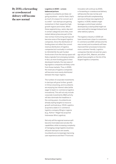**By 2030, e-forwarding or crowdsourced delivery will become the new normal**

### Logistics in 2030 – a more balanced picture

Logistics incumbents are likely not going anywhere – and for them, that's as much of a reason for concern as it is a relief – but startups are gaining momentum in their respective highgrowth regions and niches. When these segments (e.g., same-day and in certain categories and cities, even instant delivery) become part of the new normal, frontrunning startups will become some of the largest logistics companies. Since the distribution of funding does not reflect the current revenue distribution of logistics companies but is actually in contrast to it (Exhibit 9), the well-funded frontrunners from the startup space will likely originate from emerging markets. In fact, as more funding goes to lessdeveloped markets, the new wave of big logistics companies will likely come from those markets. Thus, in 2030, the revenues of logistics companies will become more evenly distributed between the major regions.

The number of corporate investments in startups will grow further: growth in China is booming, and incumbents are enjoying low interest rates (while eager to lead in e-commerce logistics innovations). This will not only include corporate investments; M&A activity will also dominate the headlines in the coming years. Incumbents are already eyeing targets to insource growth verticals (e.g., CEVA Logistics acquired a stake in e-commerce logistics company Wing) or regions (e.g., Kühne + Nagel has acquired Indonesian Wira Logistics).

Not only will the regional revenue split become more balanced, but also the capabilities: while increasing complexity of managing a large logistics business will push startups to own assets, incumbents are increasingly improving user experience and their IT front end.

Innovation will continue: by 2030, e-forwarding or crowdsourced delivery will become the new normal, and startups will build complementing services to these new segments of logistics. In 2030, retailers might leverage a control tower solution developed by a startup (that might not even exist yet) to manage Instacart and other delivery options.

The logistics industry in 2030 will have moved even closer to customers. E-commerce and B2C will become the new normal, and incumbents will have improved their processes to become more customer friendly. Logistics companies that did not exist ten years ago will join DHL, Maersk, and other global heavyweights on the list of the largest logistics companies.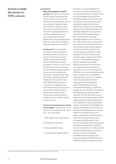### **Actions to make the journey to 2030 a success**

### Incumbents

- Map offering against market growth. Startups have conquered markets where incumbents had a weak offering. To prevent new entrants from capturing the second wave of growth segments again and keep other customers from insourcing, incumbents need to review their global presence and customer satisfaction across service segments and map it against the most promising growth segments. The offering is likely to have more gaps than expected!
- Outsource IT. Just as logistics providers convince shippers to outsource activities that are not core to their business, namely logistics, logistics incumbents should avoid building complex proprietary IT solutions, even more so when these have to be layered on top of inflexible legacy systems. Unless you have exceptionally strong tech capabilities internally, use readily available solutions for the back end of operations (e.g., TMS, WMS, ERP) and focus on a seamless IT integration and a user-friendly front end. The money is most likely better invested in advanced data analytics and interpretation expertise than in hardware and non-differentiating software assets.
- Put your money where your mouth is and digitize. There are not a lot of options in choosing how to go about this – four to be exact:
	- 1. Self-digitize internal processes
	- 2.Establish own startups
	- 3.Acquire digital startups
	- 4.Cooperate with digital startups

However, successful digitization for incumbents requires investment and committed leadership. Incumbents need to let the incubated startup operate fully independently, but should provide connections, financial resources, and operational expertise. Maersk has successfully created an e-forwarder by building a truly independent entity and ultimately letting the new organization compete with the existing business. DHL realized that its asset-light brokerage platform was not suited for the Indian market and thus acquired its own assets. Its SmarTrucking business has already reached industry-leading performance KPIs (e.g., 95 percent on-time delivery) and aims for a rapid expansion of its fleet: 10,000 trucks within ten years compared to the 745 it has now.17 UPS already developed a private-equity arm back in 1997. What is now known as UPS Ventures has invested hundreds of millions in companies, such as trucking platform TuSimple, crowdsourced delivery service Deliv, inventory/return management company Optoro, and more. In addition to launching FreightNet, Kühne + Nagel partnered with the Berlinbased "Startupbootcamp Smart Transportation & Energy" in 2016 and recently launched Reefknot Investments with Singaporean investment giant Temasek. This USD 50 million venture capital fund is looking to support growth stage businesses that have advanced tech capabilities or disruptive business models. On October 30, 2019, Reefknot made its first investment in Powler.io, an AI platform facilitating decision making. Reefknot's investment was part of Powler's Series B worth USD 24 million, which also included investors, such as Singapore's SGInnovate. Other successful examples of bold investments and leadership dedication include SF Express' investments in HiveBox and the associated parcel locker infrastructure, Hellmann's rollout of Freightos' AcceleRate rate management and auto quote system, and DB Schenker's investment and partnership with uShip.

 $\frac{17}{17}$  https://www.dhlsmartrucking.com/press-room-details/dhl-to-add-10-000-trucks.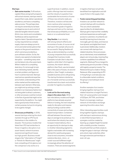### **Startups**

- Gain some muscles. To fill venture capital inflows and growth prospects with actual volumes, startups need to expand their scale, deliver operational excellence, and have a compelling sales process. This perhaps does not require ownership but at least privileged access to and control of selected tangible network assets (think cross-docks and consolidation facilities) as well as experienced logistics talent. Operational expertise is a key requirement as complex supply chains are always prone to errors and external disruptions that require on the ground resolutions – which cannot pe provided by a pure software solution. So far, the industry was spared a fundamental disruption – something many were worried about only a few years back. While it makes for a compelling deal story, it's not enough to look at an interesting market, identify a certain problem, and figure out how it could be improved. Startups need serious operational expertise and a holistic understanding of the entire market and the relationship between each element. Otherwise, you might end up solving a certain problem in an impressive fashion but not being able to attract customers, or other processes could be involved in the flow of goods that might not be supported by the platform. You might have a good product that serves a certain purpose, but you're not going to be a game changer.
- Showcase profitability. In 2019.
	- several startups entering the stock markets through an IPO found themselves in the middle of a disaster. The business models that failed their IPO had similarities to those in logistics: disruptors in an asset-based, network business experienced significant losses but high growth. Business model slogans like "Uberization of Freight" or "Airbnb for Warehouses" might look compelling at first glance, but the comparison only works on a

superficial level. In addition, recent public offerings have led investors and the industry to question how sustainable the economics of some of these new entrants really are. Therefore, investors will become more cautious when assessing the investment grade of logistics startups and look out for startups that showcase profitability on a unit basis or on a submarket level.

Stay flexible. In an industry with strong network effects and economies of scale, of course not all startups in this sample will prove to be successful. Staying flexible will help, as demonstrated by a number of young companies that successfully changed their business model. Examples include Uber's step into logistics: while Uber's first logistics business, the instant-delivery platform Uber Rush, was terminated after a few years of losses, its second platform, Uber Freight, is already a sizeable business and is still growing. The startup Kontainers started as an e-forwarder and has successfully transformed into a back-end solution provider for logistics incumbents.

### Investors

— Look out for the most analog steps in the value chain. While last-mile delivery models and freight platforms have already acquired billions in funding, the next industries ready for disruption and massive startup funding could be within connectivity of ocean and surfacebased transportation. Containers still wait between five and seven days on average to be picked up. In a world where the industry has come to expect instant delivery, this is an opportunity for startups to step in. Another interesting segment is logistics real estate: with increasing demand for warehousing space close to end consumers, innovative solutions like store , micro-, or crowd-sourced fulfillment might increasingly attract the attention of investors. There are several segments in logistics that have not yet fully benefitted from digitization and still cause friction in the supply chain.

— Foster overarching partnerships. Investors can use their network to connect startups with incumbents. This can unlock substantial opportunities for all stakeholders. Startups get to improve their credibility and brand awareness as well as gain access to customers. Incumbents can benefit by learning how to become more agile, get new ideas, and improve how dynamic and digital their brand is perceived. Additionally, investors can connect with startups from related industries. Since processes are so intertwined, most established players are not pure play, meaning they combine capabilities from different segments. Warburg Pincus merged its warehousing service provider e-Shang with logistics property investor The Redwood Group to create e-Shang Redwood. After suspending its IPO in Hong Kong in June last year, due to unfavorable market conditions, the group is now looking to revive its offering.<sup>18</sup>

Another example of an investor bringing together startups from related industries is Insight Partners: their roll-up (acquisition and merger) of E2Open, INTTRA, and Amber Road is increasingly creating a network of information exchange spanning the entire value chain.

Other interesting opportunities could bring together logistics startups with startups in autonomous driving or electrified transportation, or synergies could be created by teaming up a digital freight forwarder with a visibility provider. Investors should build their portfolio wisely to bridge the gaps in startups' offerings and unlock major potential, either through extensive partnerships or even roll-ups.

<sup>18</sup> https://www.ft.com/content/a61d4c2e-d5d3-11e9-8367-807ebd53ab77.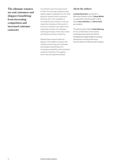**The ultimate winners are end customers and shippers benefitting from increasing competition and increased customer centricity**

Incumbents have the opportunity to learn from young companies and deploy digital capabilities to link their physical network with customers; startups are in the spotlight of incumbents and investors, and can study the mistakes of the sector's unicorns; investors can select from a growing number of companies spanning all steps of the value chain and different levels of maturity.

Despite these opportunities for players in the logistics industry, the ultimate winners are end customers and shippers benefitting from increasing competition and increased customer centricity. The logistics sector has exciting times ahead.

### **About the authors**

Ludwig Hausmann is a partner in McKinsey's Munich office. Tobias Wölfel is a specialist in the Dusseldorf office, where Jaron Stoffels and Oliver Fleck are analysts.

The authors wish to thank Troels Støvring for his contributions to this article. Troels Støvring is the former CEO of Twill (Maersk's digital freight forwarding startup) and currently works as an External Advisor to McKinsey & Company.